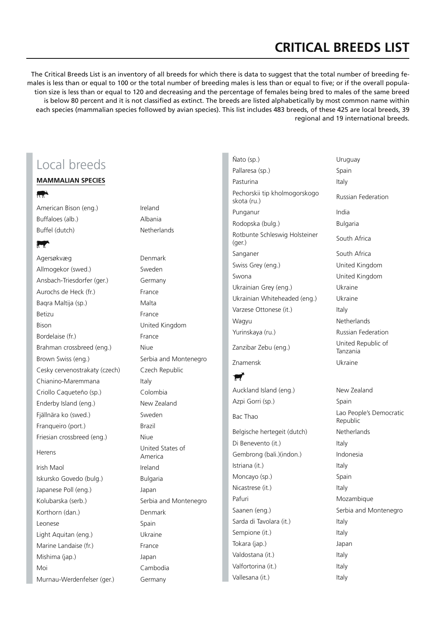# **CRITICAL BREEDS LIST**

The Critical Breeds List is an inventory of all breeds for which there is data to suggest that the total number of breeding females is less than or equal to 100 or the total number of breeding males is less than or equal to five; or if the overall population size is less than or equal to 120 and decreasing and the percentage of females being bred to males of the same breed is below 80 percent and it is not classified as extinct. The breeds are listed alphabetically by most common name within each species (mammalian species followed by avian species). This list includes 483 breeds, of these 425 are local breeds, 39 regional and 19 international breeds.

# Local breeds

#### **Mammalian species**

**RAN** 

American Bison (eng.) The Ireland Buffaloes (alb.) Albania Buffel (dutch) Netherlands

#### **R**

Agersøkvæg Denmark Allmogekor (swed.) Sweden Ansbach-Triesdorfer (ger.) Germany Aurochs de Heck (fr.) France Baqra Maltija (sp.) Malta Betizu **France** Bison United Kingdom Bordelaise (fr.) France Brahman crossbreed (eng.) Niue Brown Swiss (eng.) Serbia and Montenegro Cesky cervenostrakaty (czech) Czech Republic Chianino-Maremmana Italy Criollo Caqueteño (sp.) Colombia Enderby Island (eng.) New Zealand Fjällnära ko (swed.) Sweden Franqueiro (port.) Brazil Friesian crossbreed (eng.) Niue Herens United States of

Irish Maol **Ireland** Iskursko Govedo (bulg.) Bulgaria Japanese Poll (eng.) Japan Kolubarska (serb.) Serbia and Montenegro Korthorn (dan.) Denmark Leonese Spain Light Aquitan (eng.) Ukraine Marine Landaise (fr.) France Mishima (jap.) Japan Moi Cambodia Murnau-Werdenfelser (ger.) Germany

America

Ñato (sp.) Uruguay Pallaresa (sp.) Spain Pasturina Italy Pechorskii tip kholmogorskogo Pechorskii tip knoimogorskogo<br>skota (ru.) Punganur **India** Rodopska (bulg.) Bulgaria Rotbunte Schleswig Holsteiner Rotburite Scriieswig Holsteiner South Africa<br>(ger.) Sanganer South Africa Swiss Grey (eng.) United Kingdom Swona United Kingdom Ukrainian Grey (eng.) Ukraine Ukrainian Whiteheaded (eng.) Ukraine Varzese Ottonese (it.) Italy Wagyu **Netherlands** Yurinskaya (ru.) Russian Federation Zanzibar Zebu (eng.) United Republic of

 $\blacktriangleright$ 

Azpi Gorri (sp.) Spain Bac Thao Lao People's Democratic Belgische hertegeit (dutch) Netherlands Di Benevento (it.) ltaly Gembrong (bali.)(indon.) lndonesia Istriana (it.) Italy Moncayo (sp.) Spain Nicastrese (it.) Italy Pafuri **Mozambique** Mozambique Saanen (eng.) Serbia and Montenegro Sarda di Tavolara (it.) Italy Sempione (it.) Italy Tokara (jap.) Japan Valdostana (it.) Italy Valfortorina (it.) Italy Vallesana (it.) Italy

Tanzania Znamensk Ukraine

Auckland Island (eng.) New Zealand Republic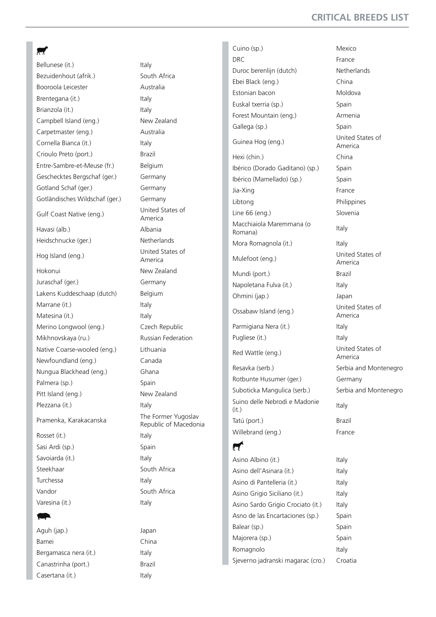#### $\blacksquare$

Bellunese (it.) The Italy Bezuidenhout (afrik.) South Africa Booroola Leicester Australia Brentegana (it.) Italy Brianzola (it.) Italy Campbell Island (eng.) New Zealand Carpetmaster (eng.) Australia Cornella Bianca (it.) Italy Crioulo Preto (port.) Brazil Entre-Sambre-et-Meuse (fr.) Belgium Geschecktes Bergschaf (ger.) Germany Gotland Schaf (ger.) Germany Gotländisches Wildschaf (ger.) Germany Gulf Coast Native (eng.) United States of Havasi (alb.) Albania Heidschnucke (ger.) Netherlands Hog Island (eng.) United States of Hokonui New Zealand Juraschaf (ger.) Germany Lakens Kuddeschaap (dutch) Belgium Marrane (it.) Italy Matesina (it.) Italy Merino Longwool (eng.) Czech Republic Mikhnovskaya (ru.) Russian Federation Native Coarse-wooled (eng.) Lithuania Newfoundland (eng.) Canada Nungua Blackhead (eng.) Ghana Palmera (sp.) Spain Pitt Island (eng.) New Zealand Plezzana (it.) Italy

Rosset (it.) Italy Sasi Ardi (sp.) Spain Savoiarda (it.) Savoiarda (it.) Steekhaar South Africa Turchessa Italy Vandor South Africa Varesina (it.) Italy

## **z**

Aguh (jap.) Japan Bamei China Bergamasca nera (it.) ltaly Canastrinha (port.) Brazil Casertana (it.) ltaly

America America Pramenka, Karakacanska The Former Yugoslav Republic of Macedonia

Cuino (sp.) Mexico DRC France Duroc berenlijn (dutch) Netherlands Ebei Black (eng.) China Estonian bacon Moldova Euskal txerria (sp.) Spain Forest Mountain (eng.) Armenia Gallega (sp.) Spain Guinea Hog (eng.) United States of Hexi (chin.) China Ibérico (Dorado Gaditano) (sp.) Spain Ibérico (Mamellado) (sp.) Spain Jia-Xing **France** Libtong Philippines Line 66 (eng.) Slovenia Macchiaiola Maremmana (o Macchialola Maremmana (0 ltaly<br>Romana) Mora Romagnola (it.) Italy Mulefoot (eng.) United States of Mundi (port.) Brazil Napoletana Fulva (it.) ltaly Ohmini (jap.) Japan Ossabaw Island (eng.) United States of Parmigiana Nera (it.) Italy Pugliese (it.) Italy Red Wattle (eng.) United States of Resavka (serb.) Serbia and Montenegro Rotbunte Husumer (ger.) Germany Suboticka Mangulica (serb.) Serbia and Montenegro Suino delle Nebrodi e Madonie Samb delle Nebrodi è Madorite Italy<br>(it.) Tatú (port.) Brazil Willebrand (eng.) France  $\boldsymbol{\tau}$ 

Asino Albino (it.) Italy Asino dell'Asinara (it.) ltaly Asino di Pantelleria (it.) ltaly Asino Grigio Siciliano (it.) Italy Asino Sardo Grigio Crociato (it.) Italy Asno de las Encartaciones (sp.) Spain Balear (sp.) Spain Majorera (sp.) Spain Romagnolo Italy Sjeverno jadranski magarac (cro.) Croatia

America America America America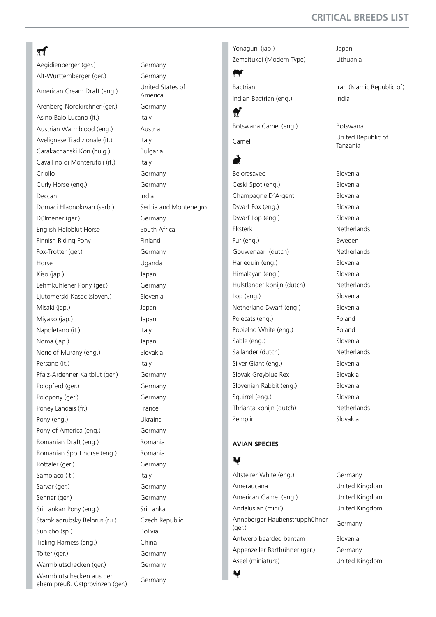## **CRITICAL BREEDS LIST**

## $\pi$

Aegidienberger (ger.) Germany Alt-Württemberger (ger.) Germany American Cream Draft (eng.) United States of Arenberg-Nordkirchner (ger.) Germany Asino Baio Lucano (it.) Italy Austrian Warmblood (eng.) Austria Avelignese Tradizionale (it.) ltaly Carakachanski Kon (bulg.) Bulgaria Cavallino di Monterufoli (it.) ltaly Criollo Germany Curly Horse (eng.) Germany Deccani India Domaci Hladnokrvan (serb.) Serbia and Montenegro Dülmener (ger.) Germany English Halbblut Horse South Africa Finnish Riding Pony **Finland** Fox-Trotter (ger.) Germany Horse Uganda Kiso (jap.) Japan Lehmkuhlener Pony (ger.) Germany Ljutomerski Kasac (sloven.) Slovenia Misaki (jap.) Japan Miyako (jap.) Japan Napoletano (it.) ltaly Noma (jap.) Japan Noric of Murany (eng.) Slovakia Persano (it.) Italy Pfalz-Ardenner Kaltblut (ger.) Germany Polopferd (ger.) Germany Polopony (ger.) Germany Poney Landais (fr.) France Pony (eng.) Ukraine Pony of America (eng.) Germany Romanian Draft (eng.) Romania Romanian Sport horse (eng.) Romania Rottaler (ger.) Germany Samolaco (it.) ltaly Sarvar (ger.) Germany Senner (ger.) Germany Sri Lankan Pony (eng.) Sri Lanka Starokladrubsky Belorus (ru.) Czech Republic Sunicho (sp.) Bolivia Tieling Harness (eng.) China Tölter (ger.) Germany Warmblutschecken (ger.) Germany Warmblutschecken aus den ehem.preuß. Ostprovinzen (ger.) Germany

America

Yonaguni (jap.) Japan Zemaitukai (Modern Type) Lithuania

Indian Bactrian (eng.) India

 $\blacksquare$ Botswana Camel (eng.) Botswana

## {

 $\boldsymbol{w}$ 

Beloresavec Slovenia Ceski Spot (eng.) Slovenia Champagne D'Argent Slovenia Dwarf Fox (eng.) Slovenia Dwarf Lop (eng.) Slovenia Eksterk Netherlands Fur (eng.) Sweden Gouwenaar (dutch) Netherlands Harlequin (eng.) Slovenia Himalayan (eng.) Slovenia Hulstlander konijn (dutch) Netherlands Lop (eng.) Slovenia Netherland Dwarf (eng.) Slovenia Polecats (eng.) Poland Popielno White (eng.) Poland Sable (eng.) Slovenia Sallander (dutch) Netherlands Silver Giant (eng.) Slovenia Slovak Greyblue Rex Slovakia Slovenian Rabbit (eng.) Slovenia Squirrel (eng.) Slovenia Thrianta konijn (dutch) Netherlands Zemplin Slovakia

Bactrian Iran (Islamic Republic of)

Camel United Republic of Tanzania

#### **Avian species**

#### $\bullet$

Altsteirer White (eng.) Germany Ameraucana United Kingdom American Game (eng.) United Kingdom Andalusian (mini') United Kingdom Annaberger Haubenstrupphühner<br>(ger.) Antwerp bearded bantam Slovenia Appenzeller Barthühner (ger.) Germany Aseel (miniature) United Kingdom Y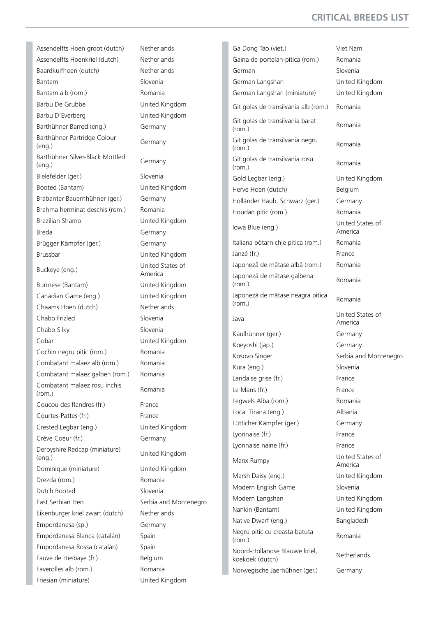## **CRITICAL BREEDS LIST**

Assendelfts Hoen groot (dutch) Netherlands Assendelfts Hoenkriel (dutch) Netherlands Baardkuifhoen (dutch) Netherlands Bantam Slovenia Bantam alb (rom.) Romania Barbu De Grubbe United Kingdom Barbu D'Everberg United Kingdom Barthühner Barred (eng.) Germany Barthühner Partridge Colour Barthumler Parthuge Colour Germany<br>(eng.) Germany Barthühner Silver-Black Mottled (eng.) Germany Bielefelder (ger.) Slovenia Booted (Bantam) United Kingdom Brabanter Bauernhühner (ger.) Germany Brahma herminat deschis (rom.) Romania Brazilian Shamo United Kingdom Breda Germany Brügger Kämpfer (ger.) Germany Brussbar United Kingdom Buckeye (eng.) United States of Burmese (Bantam) United Kingdom Canadian Game (eng.) United Kingdom Chaams Hoen (dutch) Netherlands Chabo Frizled Slovenia Chabo Silky Slovenia Cobar United Kingdom Cochin negru pitic (rom.) Romania Combatant malaez alb (rom.) Romania Combatant malaez galben (rom.) Romania Combatant malaez rosu inchis (rom.) Romania Coucou des flandres (fr.) France Courtes-Pattes (fr.) France Crested Legbar (eng.) United Kingdom Créve Coeur (fr.) Germany Derbyshire Redcap (miniature) Derbyshire Reacap (miniature) United Kingdom<br>(eng.) Dominique (miniature) United Kingdom Drezda (rom.) Romania Dutch Booted Slovenia East Serbian Hen Serbia and Montenegro Eikenburger kriel zwart (dutch) Netherlands Empordanesa (sp.) Germany Empordanesa Blanca (catalán) Spain Empordanesa Rossa (catalán) Spain Fauve de Hesbaye (fr.) Belgium Faverolles alb (rom.) Romania Friesian (miniature) United Kingdom

America

Ga Dong Tao (viet.) Viet Nam Gaina de portelan-pitica (rom.) Romania German Slovenia German Langshan United Kingdom German Langshan (miniature) United Kingdom Git golas de transilvania alb (rom.) Romania Git golas de transilvania barat (rom.) Romania Git golas de transilvania negru Shi golds de transilvama negra Romania<br>(rom.) Git golas de transilvania rosu Shi golds de transilvama rosa Romania<br>(rom.) Gold Legbar (eng.) United Kingdom Herve Hoen (dutch) Belgium Holländer Haub. Schwarz (ger.) Germany Houdan pitic (rom.) Romania Iowa Blue (eng.) United States of Italiana pòtarnichie pitica (rom.) Romania Janzé (fr.) France Japonezã de mãtase albã (rom.) Romania Japonezã de mãtase galbena (rom.) Romania Japonezã de mãtase neagra pitica<br>(rom.) Java United States of Kaulhühner (ger.) Germany Koeyoshi (jap.) Germany Kosovo Singer Serbia and Montenegro Kura (eng.) Slovenia Landaise grise (fr.) France Le Mans (fr.) France Legwels Alba (rom.) Romania Local Tirana (eng.) Albania Lütticher Kämpfer (ger.) Germany Lyonnaise (fr.) France Lyonnaise naine (fr.) France Manx Rumpy **United States of** Marsh Daisy (eng.) United Kingdom Modern English Game Slovenia Modern Langshan United Kingdom Nankin (Bantam) United Kingdom Native Dwarf (eng.) Bangladesh Negru pitic cu creasta batuta regra prie ca creasta batuta en Romania<br>(rom.) Noord-Hollandse Blauwe kriel, Koekoek (dutch) Netherlands Norwegische Jaerhühner (ger.) Germany

America America America